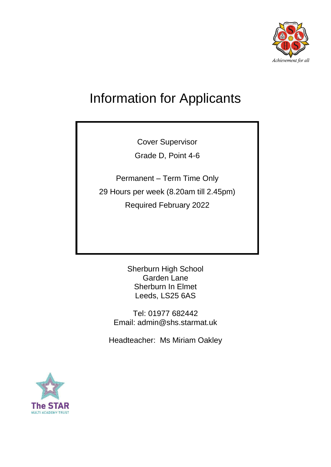

# Information for Applicants

Cover Supervisor Grade D, Point 4-6

Permanent – Term Time Only 29 Hours per week (8.20am till 2.45pm) Required February 2022

> Sherburn High School Garden Lane Sherburn In Elmet Leeds, LS25 6AS

Tel: 01977 682442 Email: admin@shs.starmat.uk

Headteacher: Ms Miriam Oakley

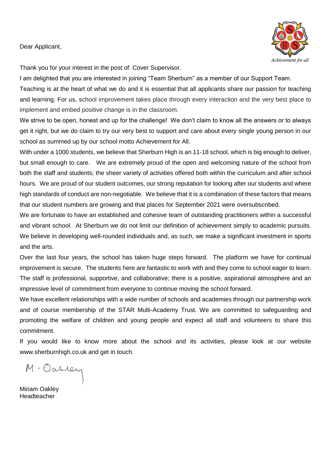Dear Applicant,



Thank you for your interest in the post of: Cover Supervisor.

I am delighted that you are interested in joining "Team Sherburn" as a member of our Support Team.

Teaching is at the heart of what we do and it is essential that all applicants share our passion for teaching and learning. For us, school improvement takes place through every interaction and the very best place to implement and embed positive change is in the classroom.

We strive to be open, honest and up for the challenge! We don't claim to know all the answers or to always get it right, but we do claim to try our very best to support and care about every single young person in our school as summed up by our school motto Achievement for All.

With under a 1000 students, we believe that Sherburn High is an 11-18 school, which is big enough to deliver, but small enough to care. We are extremely proud of the open and welcoming nature of the school from both the staff and students; the sheer variety of activities offered both within the curriculum and after school hours. We are proud of our student outcomes, our strong reputation for looking after our students and where high standards of conduct are non-negotiable. We believe that it is a combination of these factors that means that our student numbers are growing and that places for September 2021 were oversubscribed.

We are fortunate to have an established and cohesive team of outstanding practitioners within a successful and vibrant school. At Sherburn we do not limit our definition of achievement simply to academic pursuits. We believe in developing well-rounded individuals and, as such, we make a significant investment in sports and the arts.

Over the last four years, the school has taken huge steps forward. The platform we have for continual improvement is secure. The students here are fantastic to work with and they come to school eager to learn. The staff is professional, supportive, and collaborative; there is a positive, aspirational atmosphere and an impressive level of commitment from everyone to continue moving the school forward.

We have excellent relationships with a wide number of schools and academies through our partnership work and of course membership of the STAR Multi-Academy Trust. We are committed to safeguarding and promoting the welfare of children and young people and expect all staff and volunteers to share this commitment.

If you would like to know more about the school and its activities, please look at our website www.sherburnhigh.co.uk and get in touch.

M-Oarley

Miriam Oakley Headteacher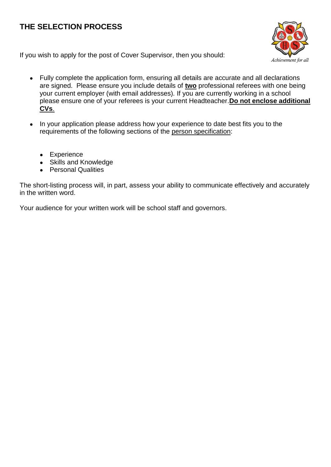# **THE SELECTION PROCESS**



If you wish to apply for the post of Cover Supervisor, then you should:

- Fully complete the application form, ensuring all details are accurate and all declarations are signed. Please ensure you include details of **two** professional referees with one being your current employer (with email addresses). If you are currently working in a school please ensure one of your referees is your current Headteacher.**Do not enclose additional CVs**.
- In your application please address how your experience to date best fits you to the requirements of the following sections of the person specification:
	- Experience
	- Skills and Knowledge
	- Personal Qualities

The short-listing process will, in part, assess your ability to communicate effectively and accurately in the written word.

Your audience for your written work will be school staff and governors.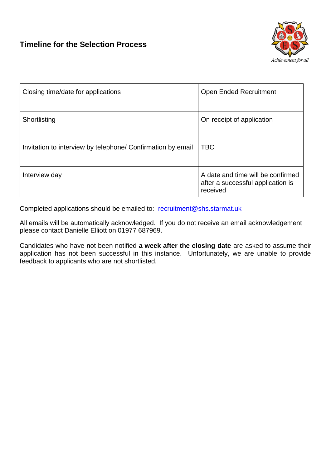

| Closing time/date for applications                          | <b>Open Ended Recruitment</b>                                                      |
|-------------------------------------------------------------|------------------------------------------------------------------------------------|
| Shortlisting                                                | On receipt of application                                                          |
| Invitation to interview by telephone/ Confirmation by email | <b>TBC</b>                                                                         |
| Interview day                                               | A date and time will be confirmed<br>after a successful application is<br>received |

Completed applications should be emailed to: [recruitment@shs.starmat.uk](mailto:recruitment@shs.starmat.uk)

All emails will be automatically acknowledged. If you do not receive an email acknowledgement please contact Danielle Elliott on 01977 687969.

Candidates who have not been notified **a week after the closing date** are asked to assume their application has not been successful in this instance. Unfortunately, we are unable to provide feedback to applicants who are not shortlisted.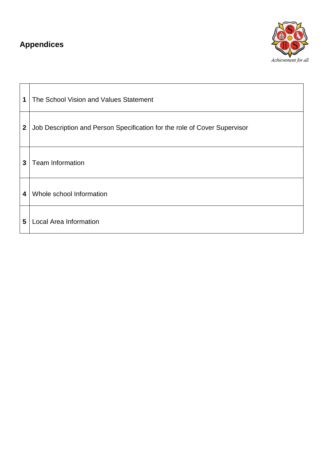# **Appendices**



| 1                       | The School Vision and Values Statement                                    |
|-------------------------|---------------------------------------------------------------------------|
| $\boldsymbol{2}$        | Job Description and Person Specification for the role of Cover Supervisor |
| 3                       | <b>Team Information</b>                                                   |
| $\overline{\mathbf{4}}$ | Whole school Information                                                  |
| 5                       | <b>Local Area Information</b>                                             |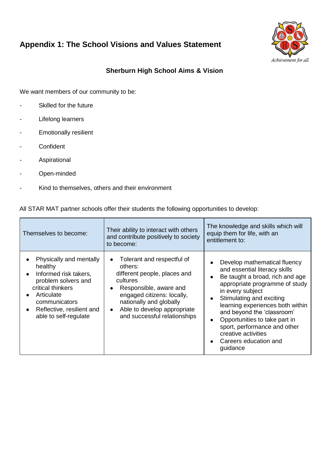# **Appendix 1: The School Visions and Values Statement**



#### **Sherburn High School Aims & Vision**

We want members of our community to be:

- Skilled for the future
- Lifelong learners
- Emotionally resilient
- Confident
- Aspirational
- Open-minded
- Kind to themselves, others and their environment

| All STAR MAT partner schools offer their students the following opportunities to develop: |  |  |  |
|-------------------------------------------------------------------------------------------|--|--|--|
|                                                                                           |  |  |  |

| Themselves to become:                                                                                                                                                                        | Their ability to interact with others<br>and contribute positively to society<br>to become:                                                                                                                                                                                | The knowledge and skills which will<br>equip them for life, with an<br>entitlement to:                                                                                                                                                                                                                                                                                            |
|----------------------------------------------------------------------------------------------------------------------------------------------------------------------------------------------|----------------------------------------------------------------------------------------------------------------------------------------------------------------------------------------------------------------------------------------------------------------------------|-----------------------------------------------------------------------------------------------------------------------------------------------------------------------------------------------------------------------------------------------------------------------------------------------------------------------------------------------------------------------------------|
| Physically and mentally<br>healthy<br>Informed risk takers,<br>problem solvers and<br>critical thinkers<br>Articulate<br>communicators<br>Reflective, resilient and<br>able to self-regulate | Tolerant and respectful of<br>$\bullet$<br>others:<br>different people, places and<br>cultures<br>Responsible, aware and<br>$\bullet$<br>engaged citizens: locally,<br>nationally and globally<br>Able to develop appropriate<br>$\bullet$<br>and successful relationships | Develop mathematical fluency<br>and essential literacy skills<br>Be taught a broad, rich and age<br>appropriate programme of study<br>in every subject<br>Stimulating and exciting<br>learning experiences both within<br>and beyond the 'classroom'<br>Opportunities to take part in<br>sport, performance and other<br>creative activities<br>Careers education and<br>guidance |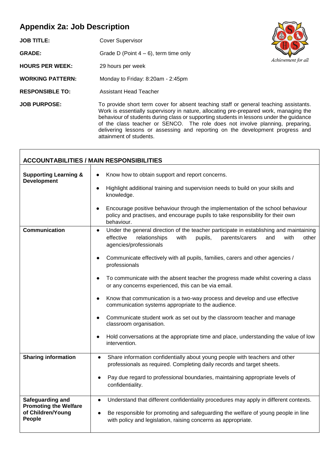# **Appendix 2a: Job Description**

 $\Gamma$ 

| <b>Appendix 2a: Job Description</b> |                                                                                                                                                                                                                                                                                                                                                                                                                                                                        |                     |
|-------------------------------------|------------------------------------------------------------------------------------------------------------------------------------------------------------------------------------------------------------------------------------------------------------------------------------------------------------------------------------------------------------------------------------------------------------------------------------------------------------------------|---------------------|
| <b>JOB TITLE:</b>                   | <b>Cover Supervisor</b>                                                                                                                                                                                                                                                                                                                                                                                                                                                |                     |
| <b>GRADE:</b>                       | Grade D (Point $4-6$ ), term time only                                                                                                                                                                                                                                                                                                                                                                                                                                 | Achievement for all |
| <b>HOURS PER WEEK:</b>              | 29 hours per week                                                                                                                                                                                                                                                                                                                                                                                                                                                      |                     |
| <b>WORKING PATTERN:</b>             | Monday to Friday: 8:20am - 2:45pm                                                                                                                                                                                                                                                                                                                                                                                                                                      |                     |
| <b>RESPONSIBLE TO:</b>              | <b>Assistant Head Teacher</b>                                                                                                                                                                                                                                                                                                                                                                                                                                          |                     |
| <b>JOB PURPOSE:</b>                 | To provide short term cover for absent teaching staff or general teaching assistants.<br>Work is essentially supervisory in nature, allocating pre-prepared work, managing the<br>behaviour of students during class or supporting students in lessons under the guidance<br>of the class teacher or SENCO. The role does not involve planning, preparing,<br>delivering lessons or assessing and reporting on the development progress and<br>attainment of students. |                     |

٦

| <b>ACCOUNTABILITIES / MAIN RESPONSIBILITIES</b>                                 |                                                                                                                                                                                                                                                                                                                                                                                                                                                                                                                                                                                                                                                                                                                                                                                                                                                                                                                                                                                                                                                                                                                                                     |  |  |
|---------------------------------------------------------------------------------|-----------------------------------------------------------------------------------------------------------------------------------------------------------------------------------------------------------------------------------------------------------------------------------------------------------------------------------------------------------------------------------------------------------------------------------------------------------------------------------------------------------------------------------------------------------------------------------------------------------------------------------------------------------------------------------------------------------------------------------------------------------------------------------------------------------------------------------------------------------------------------------------------------------------------------------------------------------------------------------------------------------------------------------------------------------------------------------------------------------------------------------------------------|--|--|
| <b>Supporting Learning &amp;</b><br><b>Development</b><br><b>Communication</b>  | Know how to obtain support and report concerns.<br>$\bullet$<br>Highlight additional training and supervision needs to build on your skills and<br>$\bullet$<br>knowledge.<br>Encourage positive behaviour through the implementation of the school behaviour<br>$\bullet$<br>policy and practises, and encourage pupils to take responsibility for their own<br>behaviour.<br>Under the general direction of the teacher participate in establishing and maintaining<br>$\bullet$<br>effective<br>relationships<br>with<br>pupils,<br>with<br>other<br>parents/carers<br>and<br>agencies/professionals<br>Communicate effectively with all pupils, families, carers and other agencies /<br>$\bullet$<br>professionals<br>To communicate with the absent teacher the progress made whilst covering a class<br>$\bullet$<br>or any concerns experienced, this can be via email.<br>Know that communication is a two-way process and develop and use effective<br>$\bullet$<br>communication systems appropriate to the audience.<br>Communicate student work as set out by the classroom teacher and manage<br>$\bullet$<br>classroom organisation. |  |  |
|                                                                                 | Hold conversations at the appropriate time and place, understanding the value of low<br>intervention.                                                                                                                                                                                                                                                                                                                                                                                                                                                                                                                                                                                                                                                                                                                                                                                                                                                                                                                                                                                                                                               |  |  |
| <b>Sharing information</b>                                                      | Share information confidentially about young people with teachers and other<br>$\bullet$<br>professionals as required. Completing daily records and target sheets.<br>Pay due regard to professional boundaries, maintaining appropriate levels of<br>confidentiality.                                                                                                                                                                                                                                                                                                                                                                                                                                                                                                                                                                                                                                                                                                                                                                                                                                                                              |  |  |
| Safeguarding and<br><b>Promoting the Welfare</b><br>of Children/Young<br>People | Understand that different confidentiality procedures may apply in different contexts.<br>Be responsible for promoting and safeguarding the welfare of young people in line<br>with policy and legislation, raising concerns as appropriate.                                                                                                                                                                                                                                                                                                                                                                                                                                                                                                                                                                                                                                                                                                                                                                                                                                                                                                         |  |  |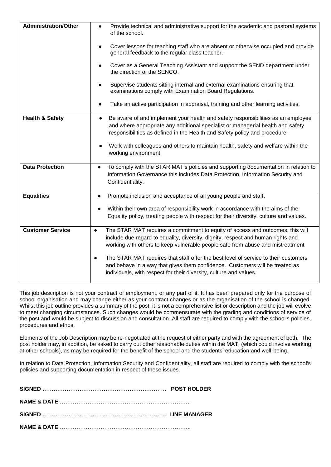| <b>Administration/Other</b> | Provide technical and administrative support for the academic and pastoral systems<br>$\bullet$<br>of the school.                                                                                                                                                 |  |
|-----------------------------|-------------------------------------------------------------------------------------------------------------------------------------------------------------------------------------------------------------------------------------------------------------------|--|
|                             | Cover lessons for teaching staff who are absent or otherwise occupied and provide<br>general feedback to the regular class teacher.                                                                                                                               |  |
|                             | Cover as a General Teaching Assistant and support the SEND department under<br>the direction of the SENCO.                                                                                                                                                        |  |
|                             | Supervise students sitting internal and external examinations ensuring that<br>examinations comply with Examination Board Regulations.                                                                                                                            |  |
|                             | Take an active participation in appraisal, training and other learning activities.<br>$\bullet$                                                                                                                                                                   |  |
| <b>Health &amp; Safety</b>  | Be aware of and implement your health and safety responsibilities as an employee<br>$\bullet$<br>and where appropriate any additional specialist or managerial health and safety<br>responsibilities as defined in the Health and Safety policy and procedure.    |  |
|                             | Work with colleagues and others to maintain health, safety and welfare within the<br>working environment                                                                                                                                                          |  |
| <b>Data Protection</b>      | To comply with the STAR MAT's policies and supporting documentation in relation to<br>Information Governance this includes Data Protection, Information Security and<br>Confidentiality.                                                                          |  |
| <b>Equalities</b>           | Promote inclusion and acceptance of all young people and staff.                                                                                                                                                                                                   |  |
|                             | Within their own area of responsibility work in accordance with the aims of the<br>Equality policy, treating people with respect for their diversity, culture and values.                                                                                         |  |
| <b>Customer Service</b>     | The STAR MAT requires a commitment to equity of access and outcomes, this will<br>$\bullet$<br>include due regard to equality, diversity, dignity, respect and human rights and<br>working with others to keep vulnerable people safe from abuse and mistreatment |  |
|                             | The STAR MAT requires that staff offer the best level of service to their customers<br>and behave in a way that gives them confidence. Customers will be treated as<br>individuals, with respect for their diversity, culture and values.                         |  |

This job description is not your contract of employment, or any part of it. It has been prepared only for the purpose of school organisation and may change either as your contract changes or as the organisation of the school is changed. Whilst this job outline provides a summary of the post, it is not a comprehensive list or description and the job will evolve to meet changing circumstances. Such changes would be commensurate with the grading and conditions of service of the post and would be subject to discussion and consultation. All staff are required to comply with the school's policies, procedures and ethos.

Elements of the Job Description may be re-negotiated at the request of either party and with the agreement of both. The post holder may, in addition, be asked to carry out other reasonable duties within the MAT, (which could involve working at other schools), as may be required for the benefit of the school and the students' education and well-being.

In relation to Data Protection, Information Security and Confidentiality, all staff are required to comply with the school's policies and supporting documentation in respect of these issues.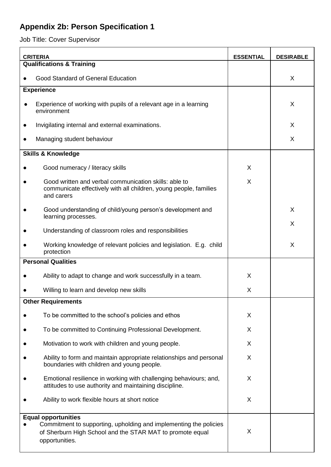# **Appendix 2b: Person Specification 1**

Job Title: Cover Supervisor

| <b>CRITERIA</b>                                                                                                                                                                | <b>ESSENTIAL</b> | <b>DESIRABLE</b> |
|--------------------------------------------------------------------------------------------------------------------------------------------------------------------------------|------------------|------------------|
| <b>Qualifications &amp; Training</b>                                                                                                                                           |                  |                  |
| Good Standard of General Education                                                                                                                                             |                  | X                |
| <b>Experience</b>                                                                                                                                                              |                  |                  |
| Experience of working with pupils of a relevant age in a learning<br>environment                                                                                               |                  | X                |
| Invigilating internal and external examinations.                                                                                                                               |                  | X                |
| Managing student behaviour                                                                                                                                                     |                  | X                |
| <b>Skills &amp; Knowledge</b>                                                                                                                                                  |                  |                  |
| Good numeracy / literacy skills                                                                                                                                                | X                |                  |
| Good written and verbal communication skills: able to<br>communicate effectively with all children, young people, families<br>and carers                                       | X                |                  |
| Good understanding of child/young person's development and<br>learning processes.                                                                                              |                  | X                |
| Understanding of classroom roles and responsibilities                                                                                                                          |                  | X                |
| Working knowledge of relevant policies and legislation. E.g. child<br>protection                                                                                               |                  | X                |
| <b>Personal Qualities</b>                                                                                                                                                      |                  |                  |
| Ability to adapt to change and work successfully in a team.                                                                                                                    | X                |                  |
| Willing to learn and develop new skills                                                                                                                                        | X                |                  |
| <b>Other Requirements</b>                                                                                                                                                      |                  |                  |
| To be committed to the school's policies and ethos                                                                                                                             | X                |                  |
| To be committed to Continuing Professional Development.                                                                                                                        | X                |                  |
| Motivation to work with children and young people.                                                                                                                             | X                |                  |
| Ability to form and maintain appropriate relationships and personal<br>boundaries with children and young people.                                                              | X                |                  |
| Emotional resilience in working with challenging behaviours; and,<br>attitudes to use authority and maintaining discipline.                                                    | X                |                  |
| Ability to work flexible hours at short notice                                                                                                                                 | X                |                  |
| <b>Equal opportunities</b><br>Commitment to supporting, upholding and implementing the policies<br>of Sherburn High School and the STAR MAT to promote equal<br>opportunities. | X                |                  |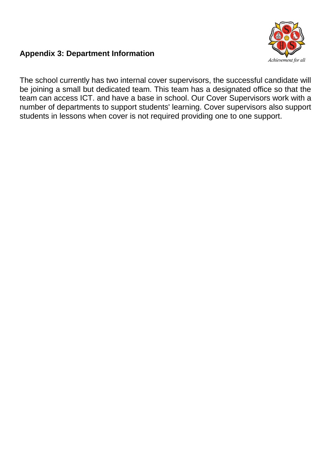# Achievement for all

# **Appendix 3: Department Information**

The school currently has two internal cover supervisors, the successful candidate will be joining a small but dedicated team. This team has a designated office so that the team can access ICT. and have a base in school. Our Cover Supervisors work with a number of departments to support students' learning. Cover supervisors also support students in lessons when cover is not required providing one to one support.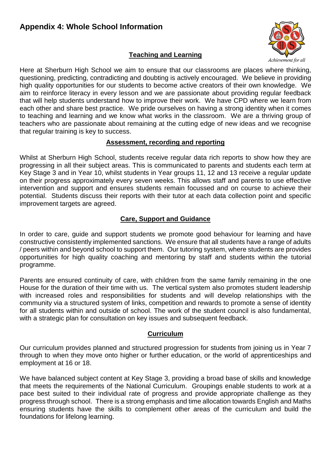# **Appendix 4: Whole School Information**



#### **Teaching and Learning**

Here at Sherburn High School we aim to ensure that our classrooms are places where thinking, questioning, predicting, contradicting and doubting is actively encouraged. We believe in providing high quality opportunities for our students to become active creators of their own knowledge. We aim to reinforce literacy in every lesson and we are passionate about providing regular feedback that will help students understand how to improve their work. We have CPD where we learn from each other and share best practice. We pride ourselves on having a strong identity when it comes to teaching and learning and we know what works in the classroom. We are a thriving group of teachers who are passionate about remaining at the cutting edge of new ideas and we recognise that regular training is key to success.

#### **Assessment, recording and reporting**

Whilst at Sherburn High School, students receive regular data rich reports to show how they are progressing in all their subject areas. This is communicated to parents and students each term at Key Stage 3 and in Year 10, whilst students in Year groups 11, 12 and 13 receive a regular update on their progress approximately every seven weeks. This allows staff and parents to use effective intervention and support and ensures students remain focussed and on course to achieve their potential. Students discuss their reports with their tutor at each data collection point and specific improvement targets are agreed.

#### **Care, Support and Guidance**

In order to care, guide and support students we promote good behaviour for learning and have constructive consistently implemented sanctions. We ensure that all students have a range of adults / peers within and beyond school to support them. Our tutoring system, where students are provides opportunities for high quality coaching and mentoring by staff and students within the tutorial programme.

Parents are ensured continuity of care, with children from the same family remaining in the one House for the duration of their time with us. The vertical system also promotes student leadership with increased roles and responsibilities for students and will develop relationships with the community via a structured system of links, competition and rewards to promote a sense of identity for all students within and outside of school. The work of the student council is also fundamental, with a strategic plan for consultation on key issues and subsequent feedback.

#### **Curriculum**

Our curriculum provides planned and structured progression for students from joining us in Year 7 through to when they move onto higher or further education, or the world of apprenticeships and employment at 16 or 18.

We have balanced subject content at Key Stage 3, providing a broad base of skills and knowledge that meets the requirements of the National Curriculum. Groupings enable students to work at a pace best suited to their individual rate of progress and provide appropriate challenge as they progress through school. There is a strong emphasis and time allocation towards English and Maths ensuring students have the skills to complement other areas of the curriculum and build the foundations for lifelong learning.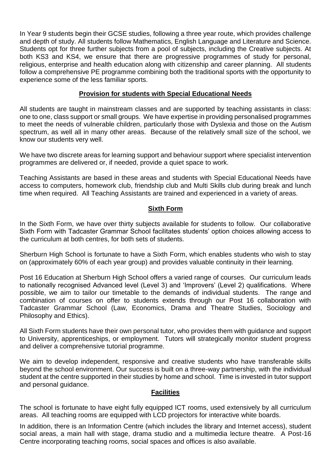In Year 9 students begin their GCSE studies, following a three year route, which provides challenge and depth of study. All students follow Mathematics, English Language and Literature and Science. Students opt for three further subjects from a pool of subjects, including the Creative subjects. At both KS3 and KS4, we ensure that there are progressive programmes of study for personal, religious, enterprise and health education along with citizenship and career planning. All students follow a comprehensive PE programme combining both the traditional sports with the opportunity to experience some of the less familiar sports.

#### **Provision for students with Special Educational Needs**

All students are taught in mainstream classes and are supported by teaching assistants in class: one to one, class support or small groups. We have expertise in providing personalised programmes to meet the needs of vulnerable children, particularly those with Dyslexia and those on the Autism spectrum, as well all in many other areas. Because of the relatively small size of the school, we know our students very well.

We have two discrete areas for learning support and behaviour support where specialist intervention programmes are delivered or, if needed, provide a quiet space to work.

Teaching Assistants are based in these areas and students with Special Educational Needs have access to computers, homework club, friendship club and Multi Skills club during break and lunch time when required. All Teaching Assistants are trained and experienced in a variety of areas.

#### **Sixth Form**

In the Sixth Form, we have over thirty subjects available for students to follow. Our collaborative Sixth Form with Tadcaster Grammar School facilitates students' option choices allowing access to the curriculum at both centres, for both sets of students.

Sherburn High School is fortunate to have a Sixth Form, which enables students who wish to stay on (approximately 60% of each year group) and provides valuable continuity in their learning.

Post 16 Education at Sherburn High School offers a varied range of courses. Our curriculum leads to nationally recognised Advanced level (Level 3) and 'Improvers' (Level 2) qualifications. Where possible, we aim to tailor our timetable to the demands of individual students. The range and combination of courses on offer to students extends through our Post 16 collaboration with Tadcaster Grammar School (Law, Economics, Drama and Theatre Studies, Sociology and Philosophy and Ethics).

All Sixth Form students have their own personal tutor, who provides them with guidance and support to University, apprenticeships, or employment. Tutors will strategically monitor student progress and deliver a comprehensive tutorial programme.

We aim to develop independent, responsive and creative students who have transferable skills beyond the school environment. Our success is built on a three-way partnership, with the individual student at the centre supported in their studies by home and school. Time is invested in tutor support and personal guidance.

#### **Facilities**

The school is fortunate to have eight fully equipped ICT rooms, used extensively by all curriculum areas. All teaching rooms are equipped with LCD projectors for interactive white boards.

In addition, there is an Information Centre (which includes the library and Internet access), student social areas, a main hall with stage, drama studio and a multimedia lecture theatre. A Post-16 Centre incorporating teaching rooms, social spaces and offices is also available.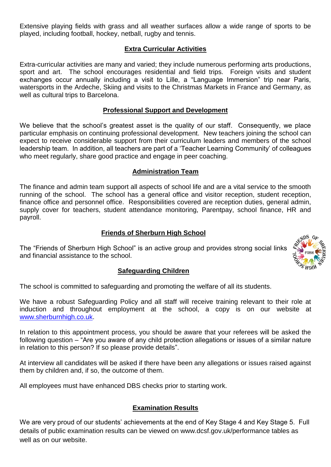Extensive playing fields with grass and all weather surfaces allow a wide range of sports to be played, including football, hockey, netball, rugby and tennis.

#### **Extra Curricular Activities**

Extra-curricular activities are many and varied; they include numerous performing arts productions, sport and art. The school encourages residential and field trips. Foreign visits and student exchanges occur annually including a visit to Lille, a "Language Immersion" trip near Paris, watersports in the Ardeche, Skiing and visits to the Christmas Markets in France and Germany, as well as cultural trips to Barcelona.

#### **Professional Support and Development**

We believe that the school's greatest asset is the quality of our staff. Consequently, we place particular emphasis on continuing professional development. New teachers joining the school can expect to receive considerable support from their curriculum leaders and members of the school leadership team. In addition, all teachers are part of a 'Teacher Learning Community' of colleagues who meet regularly, share good practice and engage in peer coaching.

#### **Administration Team**

The finance and admin team support all aspects of school life and are a vital service to the smooth running of the school. The school has a general office and visitor reception, student reception, finance office and personnel office. Responsibilities covered are reception duties, general admin, supply cover for teachers, student attendance monitoring, Parentpay, school finance, HR and payroll.

#### **Friends of Sherburn High School**

The "Friends of Sherburn High School" is an active group and provides strong social links and financial assistance to the school.



#### **Safeguarding Children**

The school is committed to safeguarding and promoting the welfare of all its students.

We have a robust Safeguarding Policy and all staff will receive training relevant to their role at induction and throughout employment at the school, a copy is on our website at [www.sherburnhigh.co.uk.](http://www.sherburnhigh.co.uk/)

In relation to this appointment process, you should be aware that your referees will be asked the following question – "Are you aware of any child protection allegations or issues of a similar nature in relation to this person? If so please provide details".

At interview all candidates will be asked if there have been any allegations or issues raised against them by children and, if so, the outcome of them.

All employees must have enhanced DBS checks prior to starting work.

#### **Examination Results**

We are very proud of our students' achievements at the end of Key Stage 4 and Key Stage 5. Full details of public examination results can be viewed on www.dcsf.gov.uk/performance tables as well as on our website.